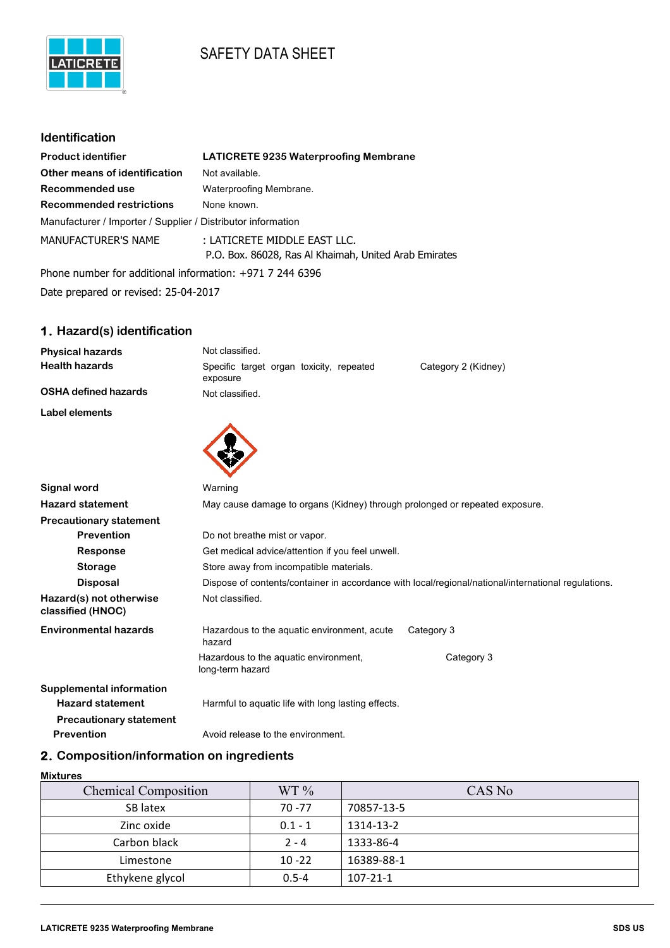# SAFETY DATA SHEET



## **Identification**

| <b>Product identifier</b>                                    | <b>LATICRETE 9235 Waterproofing Membrane</b>                                          |
|--------------------------------------------------------------|---------------------------------------------------------------------------------------|
| Other means of identification                                | Not available.                                                                        |
| Recommended use                                              | Waterproofing Membrane.                                                               |
| <b>Recommended restrictions</b>                              | None known.                                                                           |
| Manufacturer / Importer / Supplier / Distributor information |                                                                                       |
| <b>MANUFACTURER'S NAME</b>                                   | : LATICRETE MIDDLE EAST LLC.<br>P.O. Box. 86028, Ras Al Khaimah, United Arab Emirates |
| Phone number for additional information: $+971$ 7 244 6396   |                                                                                       |

Date prepared or revised: 25-04-2017

# **1. Hazard(s) identification**

| <b>Physical hazards</b>     | Not classified.                                                             |  |
|-----------------------------|-----------------------------------------------------------------------------|--|
| <b>Health hazards</b>       | Specific target organ toxicity, repeated<br>Category 2 (Kidney)<br>exposure |  |
| <b>OSHA defined hazards</b> | Not classified.                                                             |  |
| Label elements              |                                                                             |  |
|                             |                                                                             |  |
| Signal word                 | Warning                                                                     |  |

| <b>Hazard statement</b>                      | May cause damage to organs (Kidney) through prolonged or repeated exposure. |                                                                                                     |
|----------------------------------------------|-----------------------------------------------------------------------------|-----------------------------------------------------------------------------------------------------|
| <b>Precautionary statement</b>               |                                                                             |                                                                                                     |
| <b>Prevention</b>                            | Do not breathe mist or vapor.                                               |                                                                                                     |
| Response                                     | Get medical advice/attention if you feel unwell.                            |                                                                                                     |
| <b>Storage</b>                               | Store away from incompatible materials.                                     |                                                                                                     |
| <b>Disposal</b>                              |                                                                             | Dispose of contents/container in accordance with local/regional/national/international regulations. |
| Hazard(s) not otherwise<br>classified (HNOC) | Not classified.                                                             |                                                                                                     |
| <b>Environmental hazards</b>                 | Hazardous to the aquatic environment, acute<br>hazard                       | Category 3                                                                                          |
|                                              | Hazardous to the aquatic environment,<br>long-term hazard                   | Category 3                                                                                          |
| Supplemental information                     |                                                                             |                                                                                                     |
| <b>Hazard statement</b>                      | Harmful to aguatic life with long lasting effects.                          |                                                                                                     |
| <b>Precautionary statement</b>               |                                                                             |                                                                                                     |
| <b>Prevention</b>                            | Avoid release to the environment.                                           |                                                                                                     |

# **2. Composition/information on ingredients**

#### **Mixtures**

| <b>Chemical Composition</b> | WT 9/6    | CAS No         |
|-----------------------------|-----------|----------------|
| SB latex                    | $70 - 77$ | 70857-13-5     |
| Zinc oxide                  | $0.1 - 1$ | 1314-13-2      |
| Carbon black                | $2 - 4$   | 1333-86-4      |
| Limestone                   | $10 - 22$ | 16389-88-1     |
| Ethykene glycol             | $0.5 - 4$ | $107 - 21 - 1$ |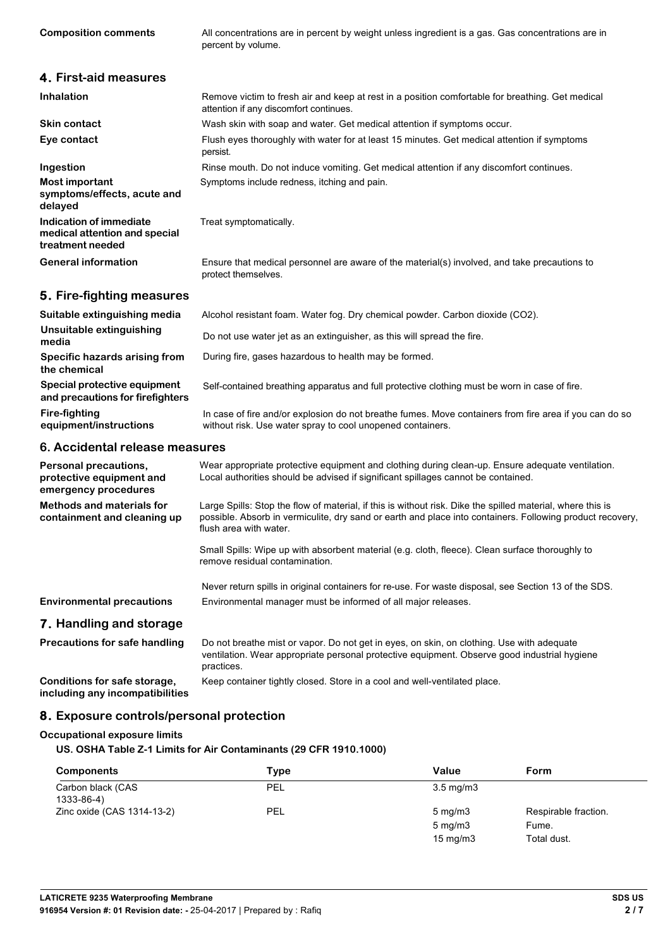**Composition comments** All concentrations are in percent by weight unless ingredient is a gas. Gas concentrations are in percent by volume.

| 4. First-aid measures                                                        |                                                                                                                                                                                                                                                   |
|------------------------------------------------------------------------------|---------------------------------------------------------------------------------------------------------------------------------------------------------------------------------------------------------------------------------------------------|
| <b>Inhalation</b>                                                            | Remove victim to fresh air and keep at rest in a position comfortable for breathing. Get medical<br>attention if any discomfort continues.                                                                                                        |
| <b>Skin contact</b>                                                          | Wash skin with soap and water. Get medical attention if symptoms occur.                                                                                                                                                                           |
| Eye contact                                                                  | Flush eyes thoroughly with water for at least 15 minutes. Get medical attention if symptoms<br>persist.                                                                                                                                           |
| Ingestion                                                                    | Rinse mouth. Do not induce vomiting. Get medical attention if any discomfort continues.                                                                                                                                                           |
| <b>Most important</b><br>symptoms/effects, acute and<br>delayed              | Symptoms include redness, itching and pain.                                                                                                                                                                                                       |
| Indication of immediate<br>medical attention and special<br>treatment needed | Treat symptomatically.                                                                                                                                                                                                                            |
| <b>General information</b>                                                   | Ensure that medical personnel are aware of the material(s) involved, and take precautions to<br>protect themselves.                                                                                                                               |
| 5. Fire-fighting measures                                                    |                                                                                                                                                                                                                                                   |
| Suitable extinguishing media                                                 | Alcohol resistant foam. Water fog. Dry chemical powder. Carbon dioxide (CO2).                                                                                                                                                                     |
| Unsuitable extinguishing<br>media                                            | Do not use water jet as an extinguisher, as this will spread the fire.                                                                                                                                                                            |
| Specific hazards arising from<br>the chemical                                | During fire, gases hazardous to health may be formed.                                                                                                                                                                                             |
| Special protective equipment<br>and precautions for firefighters             | Self-contained breathing apparatus and full protective clothing must be worn in case of fire.                                                                                                                                                     |
| <b>Fire-fighting</b><br>equipment/instructions                               | In case of fire and/or explosion do not breathe fumes. Move containers from fire area if you can do so<br>without risk. Use water spray to cool unopened containers.                                                                              |
| 6. Accidental release measures                                               |                                                                                                                                                                                                                                                   |
| Personal precautions,<br>protective equipment and<br>emergency procedures    | Wear appropriate protective equipment and clothing during clean-up. Ensure adequate ventilation.<br>Local authorities should be advised if significant spillages cannot be contained.                                                             |
| <b>Methods and materials for</b><br>containment and cleaning up              | Large Spills: Stop the flow of material, if this is without risk. Dike the spilled material, where this is<br>possible. Absorb in vermiculite, dry sand or earth and place into containers. Following product recovery,<br>flush area with water. |
|                                                                              | Small Spills: Wipe up with absorbent material (e.g. cloth, fleece). Clean surface thoroughly to<br>remove residual contamination.                                                                                                                 |

Never return spills in original containers for re-use. For waste disposal, see Section 13 of the SDS. **Environmental precautions** Environmental manager must be informed of all major releases.

### **7. Handling and storage**

**Precautions for safe handling** Do not breathe mist or vapor. Do not get in eyes, on skin, on clothing. Use with adequate ventilation. Wear appropriate personal protective equipment. Observe good industrial hygiene practices.

**Conditions for safe storage,** Keep container tightly closed. Store in a cool and well-ventilated place.

**including any incompatibilities**

### **8. Exposure controls/personal protection**

#### **Occupational exposure limits**

**US. OSHA Table Z-1 Limits for Air Contaminants (29 CFR 1910.1000)**

| Components                      | Type | Value              | Form                 |
|---------------------------------|------|--------------------|----------------------|
| Carbon black (CAS<br>1333-86-4) | PEL  | $3.5 \text{ mg/m}$ |                      |
| Zinc oxide (CAS 1314-13-2)      | PEL  | $5 \text{ mg/m}$   | Respirable fraction. |
|                                 |      | $5 \text{ mg/m}$   | Fume.                |
|                                 |      | $15 \text{ mg/m}$  | Total dust.          |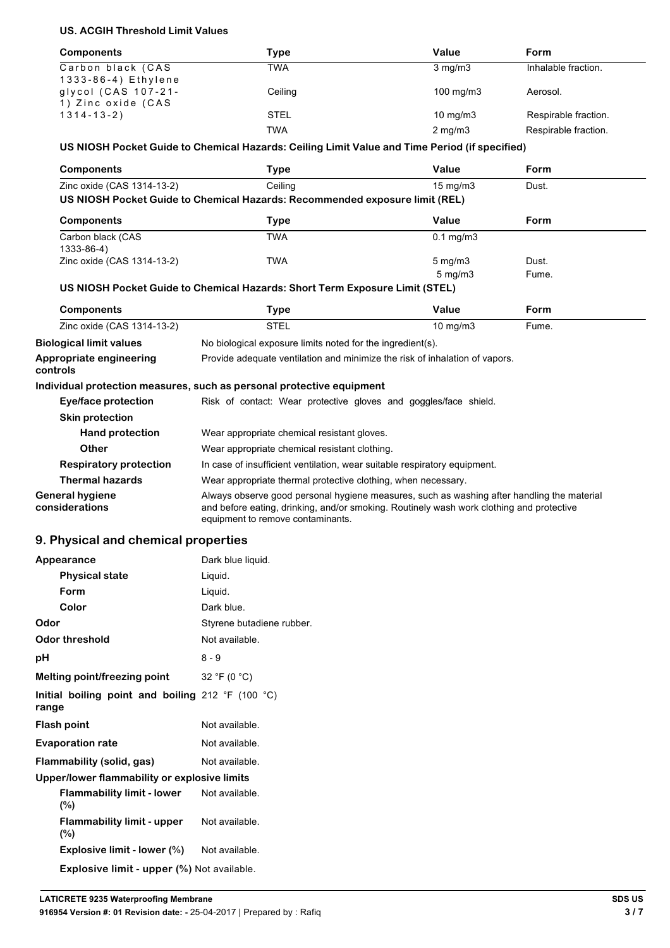## **US. ACGIH Threshold Limit Values**

| <b>Components</b>   | Type        | Value              | Form                 |
|---------------------|-------------|--------------------|----------------------|
| Carbon black (CAS   | TWA         | $3 \text{ mg/m}$   | Inhalable fraction.  |
| 1333-86-4) Ethylene |             |                    |                      |
| glycol (CAS 107-21- | Ceiling     | $100 \text{ mg/m}$ | Aerosol.             |
| 1) Zinc oxide (CAS  |             |                    |                      |
| $1314 - 13 - 2)$    | <b>STEL</b> | $10 \text{ mg/m}$  | Respirable fraction. |
|                     | TWA         | $2 \text{ mg/m}$   | Respirable fraction. |

### **US NIOSH Pocket Guide to Chemical Hazards: Ceiling Limit Value and Time Period (if specified)**

| <b>Components</b>                      | Type                                                                        | Value              | <b>Form</b> |  |
|----------------------------------------|-----------------------------------------------------------------------------|--------------------|-------------|--|
| Zinc oxide (CAS 1314-13-2)             | Ceiling                                                                     | $15 \text{ mg/m}$  | Dust.       |  |
|                                        | US NIOSH Pocket Guide to Chemical Hazards: Recommended exposure limit (REL) |                    |             |  |
| <b>Components</b>                      | <b>Type</b>                                                                 | Value              | <b>Form</b> |  |
| Carbon black (CAS<br>$1333 - 86 - 4$ ) | <b>TWA</b>                                                                  | $0.1$ mg/m $3$     |             |  |
| Zinc oxide (CAS 1314-13-2)             | <b>TWA</b>                                                                  | $5 \text{ mg/m}$   | Dust.       |  |
|                                        |                                                                             | $5 \text{ mg/m}$ 3 | Fume.       |  |
|                                        |                                                                             |                    |             |  |
|                                        | US NIOSH Pocket Guide to Chemical Hazards: Short Term Exposure Limit (STEL) |                    |             |  |
| <b>Components</b>                      | <b>Type</b>                                                                 | Value              | <b>Form</b> |  |
| Zinc oxide (CAS 1314-13-2)             | <b>STEL</b>                                                                 | $10 \text{ mg/m}$  | Fume.       |  |
| <b>Biological limit values</b>         | No biological exposure limits noted for the ingredient(s).                  |                    |             |  |
| Appropriate engineering<br>controls    | Provide adequate ventilation and minimize the risk of inhalation of vapors. |                    |             |  |
|                                        | Individual protection measures, such as personal protective equipment       |                    |             |  |
| Eye/face protection                    | Risk of contact: Wear protective gloves and goggles/face shield.            |                    |             |  |
| <b>Skin protection</b>                 |                                                                             |                    |             |  |

| <b>Other</b>                             | Wear appropriate chemical resistant clothing.                                                                                                                                                                               |
|------------------------------------------|-----------------------------------------------------------------------------------------------------------------------------------------------------------------------------------------------------------------------------|
| <b>Respiratory protection</b>            | In case of insufficient ventilation, wear suitable respiratory equipment.                                                                                                                                                   |
| Thermal hazards                          | Wear appropriate thermal protective clothing, when necessary.                                                                                                                                                               |
| <b>General hygiene</b><br>considerations | Always observe good personal hygiene measures, such as washing after handling the material<br>and before eating, drinking, and/or smoking. Routinely wash work clothing and protective<br>equipment to remove contaminants. |

## **9. Physical and chemical properties**

| Appearance                                                 | Dark blue liquid.         |
|------------------------------------------------------------|---------------------------|
| <b>Physical state</b>                                      | Liquid.                   |
| Form                                                       | Liquid.                   |
| Color                                                      | Dark blue.                |
| Odor                                                       | Styrene butadiene rubber. |
| <b>Odor threshold</b>                                      | Not available.            |
| рH                                                         | $8 - 9$                   |
| Melting point/freezing point                               | 32 °F (0 °C)              |
| Initial boiling point and boiling 212 °F (100 °C)<br>range |                           |
| <b>Flash point</b>                                         | Not available.            |
| <b>Evaporation rate</b>                                    | Not available.            |
| Flammability (solid, gas)                                  | Not available.            |
| Upper/lower flammability or explosive limits               |                           |
| <b>Flammability limit - lower</b><br>$(\%)$                | Not available.            |
| <b>Flammability limit - upper</b><br>$(\%)$                | Not available.            |
| Explosive limit - lower (%)                                | Not available.            |
| <b>Explosive limit - upper (%)</b> Not available.          |                           |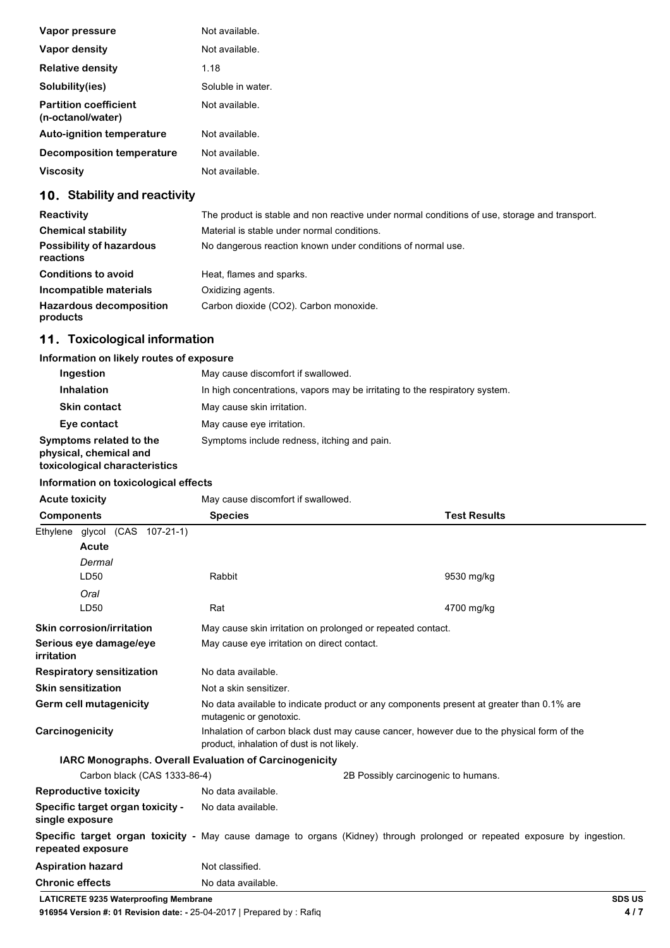| Vapor pressure                                    | Not available.    |
|---------------------------------------------------|-------------------|
| Vapor density                                     | Not available.    |
| <b>Relative density</b>                           | 1.18              |
| Solubility(ies)                                   | Soluble in water. |
| <b>Partition coefficient</b><br>(n-octanol/water) | Not available.    |
| <b>Auto-ignition temperature</b>                  | Not available.    |
| Decomposition temperature                         | Not available.    |
| <b>Viscosity</b>                                  | Not available.    |

# **10. Stability and reactivity**

| Reactivity                                   | The product is stable and non reactive under normal conditions of use, storage and transport. |
|----------------------------------------------|-----------------------------------------------------------------------------------------------|
| <b>Chemical stability</b>                    | Material is stable under normal conditions.                                                   |
| <b>Possibility of hazardous</b><br>reactions | No dangerous reaction known under conditions of normal use.                                   |
| <b>Conditions to avoid</b>                   | Heat, flames and sparks.                                                                      |
| Incompatible materials                       | Oxidizing agents.                                                                             |
| <b>Hazardous decomposition</b><br>products   | Carbon dioxide (CO2). Carbon monoxide.                                                        |

# **11. Toxicological information**

## **Information on likely routes of exposure**

| Ingestion                                                                          | May cause discomfort if swallowed.                                          |
|------------------------------------------------------------------------------------|-----------------------------------------------------------------------------|
| Inhalation                                                                         | In high concentrations, vapors may be irritating to the respiratory system. |
| <b>Skin contact</b>                                                                | May cause skin irritation.                                                  |
| Eye contact                                                                        | May cause eye irritation.                                                   |
| Symptoms related to the<br>physical, chemical and<br>toxicological characteristics | Symptoms include redness, itching and pain.                                 |

#### **Information on toxicological effects**

| information on toxicological effects                                   |                                                                                                                                         |                                                                                                                           |
|------------------------------------------------------------------------|-----------------------------------------------------------------------------------------------------------------------------------------|---------------------------------------------------------------------------------------------------------------------------|
| <b>Acute toxicity</b>                                                  | May cause discomfort if swallowed.                                                                                                      |                                                                                                                           |
| <b>Components</b>                                                      | <b>Species</b>                                                                                                                          | <b>Test Results</b>                                                                                                       |
| Ethylene glycol (CAS 107-21-1)<br>Acute                                |                                                                                                                                         |                                                                                                                           |
| Dermal                                                                 |                                                                                                                                         |                                                                                                                           |
| LD50                                                                   | Rabbit                                                                                                                                  | 9530 mg/kg                                                                                                                |
| Oral                                                                   |                                                                                                                                         |                                                                                                                           |
| LD50                                                                   | Rat                                                                                                                                     | 4700 mg/kg                                                                                                                |
| <b>Skin corrosion/irritation</b>                                       | May cause skin irritation on prolonged or repeated contact.                                                                             |                                                                                                                           |
| Serious eye damage/eye<br>irritation                                   | May cause eye irritation on direct contact.                                                                                             |                                                                                                                           |
| <b>Respiratory sensitization</b>                                       | No data available.                                                                                                                      |                                                                                                                           |
| <b>Skin sensitization</b>                                              | Not a skin sensitizer.                                                                                                                  |                                                                                                                           |
| <b>Germ cell mutagenicity</b>                                          | No data available to indicate product or any components present at greater than 0.1% are<br>mutagenic or genotoxic.                     |                                                                                                                           |
| Carcinogenicity                                                        | Inhalation of carbon black dust may cause cancer, however due to the physical form of the<br>product, inhalation of dust is not likely. |                                                                                                                           |
|                                                                        | IARC Monographs. Overall Evaluation of Carcinogenicity                                                                                  |                                                                                                                           |
| Carbon black (CAS 1333-86-4)                                           |                                                                                                                                         | 2B Possibly carcinogenic to humans.                                                                                       |
| <b>Reproductive toxicity</b>                                           | No data available.                                                                                                                      |                                                                                                                           |
| Specific target organ toxicity -<br>single exposure                    | No data available.                                                                                                                      |                                                                                                                           |
| repeated exposure                                                      |                                                                                                                                         | Specific target organ toxicity - May cause damage to organs (Kidney) through prolonged or repeated exposure by ingestion. |
| <b>Aspiration hazard</b>                                               | Not classified.                                                                                                                         |                                                                                                                           |
| <b>Chronic effects</b>                                                 | No data available.                                                                                                                      |                                                                                                                           |
| <b>LATICRETE 9235 Waterproofing Membrane</b>                           |                                                                                                                                         | <b>SDS US</b>                                                                                                             |
| 916954 Version #: 01 Revision date: - 25-04-2017   Prepared by : Rafig |                                                                                                                                         | 4/7                                                                                                                       |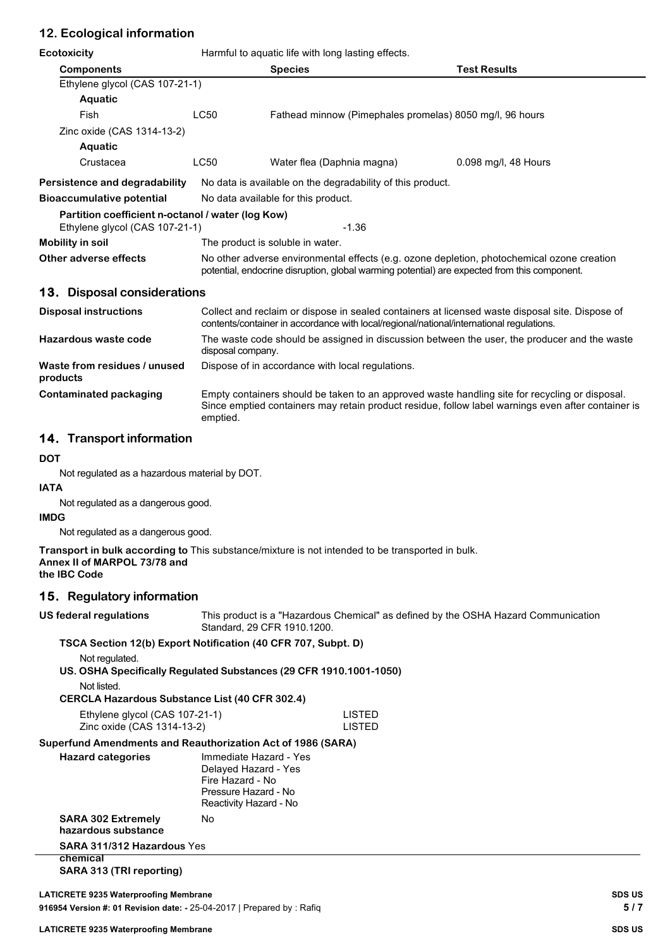## **12. Ecological information**

| Ecotoxicity                                                                         | Harmful to aquatic life with long lasting effects.                                                                                                                                          |                                                                                                |                                                                                                    |  |
|-------------------------------------------------------------------------------------|---------------------------------------------------------------------------------------------------------------------------------------------------------------------------------------------|------------------------------------------------------------------------------------------------|----------------------------------------------------------------------------------------------------|--|
| <b>Components</b>                                                                   |                                                                                                                                                                                             | <b>Species</b>                                                                                 | <b>Test Results</b>                                                                                |  |
| Ethylene glycol (CAS 107-21-1)                                                      |                                                                                                                                                                                             |                                                                                                |                                                                                                    |  |
| Aquatic                                                                             |                                                                                                                                                                                             |                                                                                                |                                                                                                    |  |
| Fish                                                                                | <b>LC50</b>                                                                                                                                                                                 | Fathead minnow (Pimephales promelas) 8050 mg/l, 96 hours                                       |                                                                                                    |  |
| Zinc oxide (CAS 1314-13-2)                                                          |                                                                                                                                                                                             |                                                                                                |                                                                                                    |  |
| Aquatic                                                                             |                                                                                                                                                                                             |                                                                                                |                                                                                                    |  |
| Crustacea                                                                           | <b>LC50</b>                                                                                                                                                                                 | Water flea (Daphnia magna)                                                                     | 0.098 mg/l, 48 Hours                                                                               |  |
| Persistence and degradability                                                       |                                                                                                                                                                                             | No data is available on the degradability of this product.                                     |                                                                                                    |  |
| <b>Bioaccumulative potential</b>                                                    |                                                                                                                                                                                             | No data available for this product.                                                            |                                                                                                    |  |
| Partition coefficient n-octanol / water (log Kow)<br>Ethylene glycol (CAS 107-21-1) |                                                                                                                                                                                             | $-1.36$                                                                                        |                                                                                                    |  |
| Mobility in soil                                                                    |                                                                                                                                                                                             | The product is soluble in water.                                                               |                                                                                                    |  |
| Other adverse effects                                                               | No other adverse environmental effects (e.g. ozone depletion, photochemical ozone creation<br>potential, endocrine disruption, global warming potential) are expected from this component.  |                                                                                                |                                                                                                    |  |
| 13. Disposal considerations                                                         |                                                                                                                                                                                             |                                                                                                |                                                                                                    |  |
| <b>Disposal instructions</b>                                                        | Collect and reclaim or dispose in sealed containers at licensed waste disposal site. Dispose of<br>contents/container in accordance with local/regional/national/international regulations. |                                                                                                |                                                                                                    |  |
| Hazardous waste code                                                                | The waste code should be assigned in discussion between the user, the producer and the waste<br>disposal company.                                                                           |                                                                                                |                                                                                                    |  |
| Waste from residues / unused<br>products                                            |                                                                                                                                                                                             | Dispose of in accordance with local regulations.                                               |                                                                                                    |  |
| <b>Contaminated packaging</b>                                                       | emptied.                                                                                                                                                                                    | Empty containers should be taken to an approved waste handling site for recycling or disposal. | Since emptied containers may retain product residue, follow label warnings even after container is |  |

## **14. Transport information**

#### **DOT**

Not regulated as a hazardous material by DOT.

#### **IATA**

Not regulated as a dangerous good.

#### **IMDG**

Not regulated as a dangerous good.

**Transport in bulk according to** This substance/mixture is not intended to be transported in bulk. **Annex II of MARPOL 73/78 and**

**the IBC Code**

### **15. Regulatory information**

|  | US federal regulations |
|--|------------------------|
|--|------------------------|

This product is a "Hazardous Chemical" as defined by the OSHA Hazard Communication Standard, 29 CFR 1910.1200.

#### **TSCA Section 12(b) Export Notification (40 CFR 707, Subpt. D)**

Not regulated.

**US. OSHA Specifically Regulated Substances (29 CFR 1910.1001-1050)**

| Not listed.                                           |  |
|-------------------------------------------------------|--|
| <b>CERCLA Hazardous Substance List (40 CFR 302.4)</b> |  |
| Ethylene glycol (CAS 107-21-1)                        |  |

| Ethylene glycol (CAS 107-21-1) | LISTED |
|--------------------------------|--------|
| Zinc oxide (CAS 1314-13-2)     | LISTED |

## **Superfund Amendments and Reauthorization Act of 1986 (SARA)**

| <b>Hazard categories</b>                         | Immediate Hazard - Yes |  |  |
|--------------------------------------------------|------------------------|--|--|
|                                                  | Delayed Hazard - Yes   |  |  |
|                                                  | Fire Hazard - No       |  |  |
|                                                  | Pressure Hazard - No   |  |  |
|                                                  | Reactivity Hazard - No |  |  |
| <b>SARA 302 Extremely</b><br>hazardous substance | N٥                     |  |  |

### **SARA 311/312 Hazardous** Yes

**chemical**

**SARA 313 (TRI reporting)**

| <b>LATICRETE 9235 Waterproofing Membrane</b>                           | <b>SDS US</b> |
|------------------------------------------------------------------------|---------------|
| 916954 Version #: 01 Revision date: - 25-04-2017   Prepared by : Rafiq | 5/7           |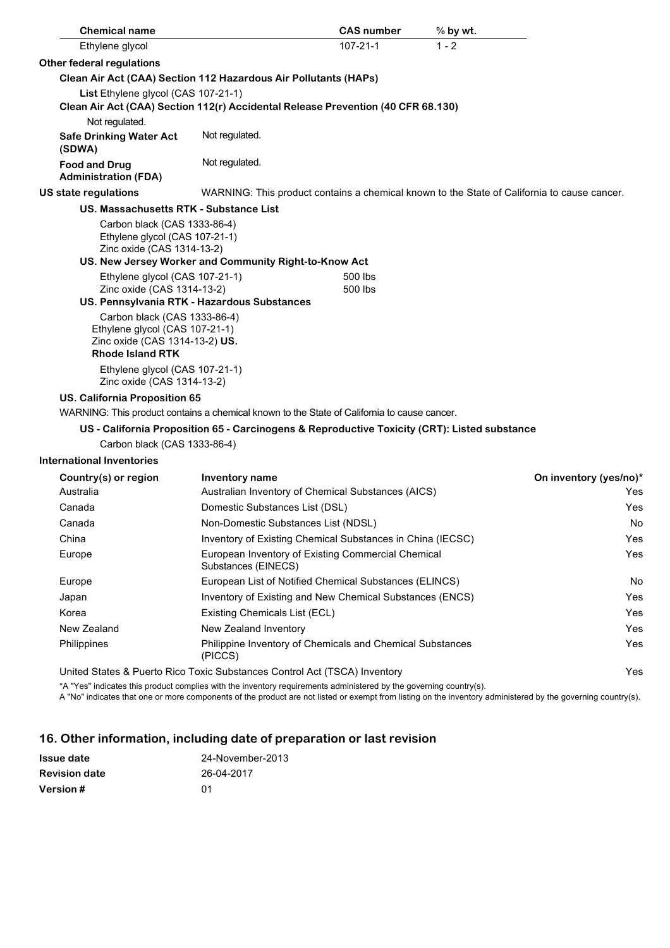| <b>Chemical name</b>                                                                                                        |                                                                                              | <b>CAS number</b>  | % by wt.                                                                                    |
|-----------------------------------------------------------------------------------------------------------------------------|----------------------------------------------------------------------------------------------|--------------------|---------------------------------------------------------------------------------------------|
| Ethylene glycol                                                                                                             |                                                                                              | $107 - 21 - 1$     | $1 - 2$                                                                                     |
| Other federal regulations                                                                                                   |                                                                                              |                    |                                                                                             |
|                                                                                                                             | Clean Air Act (CAA) Section 112 Hazardous Air Pollutants (HAPs)                              |                    |                                                                                             |
| List Ethylene glycol (CAS 107-21-1)                                                                                         |                                                                                              |                    |                                                                                             |
|                                                                                                                             | Clean Air Act (CAA) Section 112(r) Accidental Release Prevention (40 CFR 68.130)             |                    |                                                                                             |
| Not regulated.                                                                                                              |                                                                                              |                    |                                                                                             |
| <b>Safe Drinking Water Act</b><br>(SDWA)                                                                                    | Not regulated.                                                                               |                    |                                                                                             |
| <b>Food and Drug</b><br><b>Administration (FDA)</b>                                                                         | Not regulated.                                                                               |                    |                                                                                             |
| US state regulations                                                                                                        |                                                                                              |                    | WARNING: This product contains a chemical known to the State of California to cause cancer. |
| US. Massachusetts RTK - Substance List                                                                                      |                                                                                              |                    |                                                                                             |
| Carbon black (CAS 1333-86-4)<br>Ethylene glycol (CAS 107-21-1)<br>Zinc oxide (CAS 1314-13-2)                                |                                                                                              |                    |                                                                                             |
|                                                                                                                             | US. New Jersey Worker and Community Right-to-Know Act                                        |                    |                                                                                             |
| Ethylene glycol (CAS 107-21-1)<br>Zinc oxide (CAS 1314-13-2)                                                                | US. Pennsylvania RTK - Hazardous Substances                                                  | 500 lbs<br>500 lbs |                                                                                             |
| Carbon black (CAS 1333-86-4)<br>Ethylene glycol (CAS 107-21-1)<br>Zinc oxide (CAS 1314-13-2) US.<br><b>Rhode Island RTK</b> |                                                                                              |                    |                                                                                             |
| Ethylene glycol (CAS 107-21-1)<br>Zinc oxide (CAS 1314-13-2)                                                                |                                                                                              |                    |                                                                                             |
| <b>US. California Proposition 65</b>                                                                                        |                                                                                              |                    |                                                                                             |
|                                                                                                                             | WARNING: This product contains a chemical known to the State of California to cause cancer.  |                    |                                                                                             |
|                                                                                                                             | US - California Proposition 65 - Carcinogens & Reproductive Toxicity (CRT): Listed substance |                    |                                                                                             |
| Carbon black (CAS 1333-86-4)                                                                                                |                                                                                              |                    |                                                                                             |
| <b>International Inventories</b>                                                                                            |                                                                                              |                    |                                                                                             |
| Country(s) or region                                                                                                        | Inventory name                                                                               |                    | On inventory (yes/no)*                                                                      |
| Australia                                                                                                                   | Australian Inventory of Chemical Substances (AICS)                                           |                    | Yes                                                                                         |
| Canada                                                                                                                      | Domestic Substances List (DSL)                                                               |                    | Yes                                                                                         |
| Canada                                                                                                                      | Non-Domestic Substances List (NDSL)                                                          |                    | No                                                                                          |
| China                                                                                                                       | Inventory of Existing Chemical Substances in China (IECSC)                                   |                    | Yes                                                                                         |
| Europe                                                                                                                      | European Inventory of Existing Commercial Chemical                                           |                    | Yes                                                                                         |

| Luivuu      | Ediopcan inventory or Existing Commicration Onemical<br>Substances (EINECS) | ט ט |
|-------------|-----------------------------------------------------------------------------|-----|
| Europe      | European List of Notified Chemical Substances (ELINCS)                      | No  |
| Japan       | Inventory of Existing and New Chemical Substances (ENCS)                    | Yes |
| Korea       | Existing Chemicals List (ECL)                                               | Yes |
| New Zealand | New Zealand Inventory                                                       | Yes |
| Philippines | Philippine Inventory of Chemicals and Chemical Substances<br>(PICCS)        | Yes |
|             |                                                                             |     |

United States & Puerto Rico Toxic Substances Control Act (TSCA) Inventory Yes \*A "Yes" indicates this product complies with the inventory requirements administered by the governing country(s).

A "No" indicates that one or more components of the product are not listed or exempt from listing on the inventory administered by the governing country(s).

# **16. Other information, including date of preparation or last revision**

| Issue date           | 24-November-2013 |
|----------------------|------------------|
| <b>Revision date</b> | 26-04-2017       |
| <b>Version#</b>      | ሰ1               |